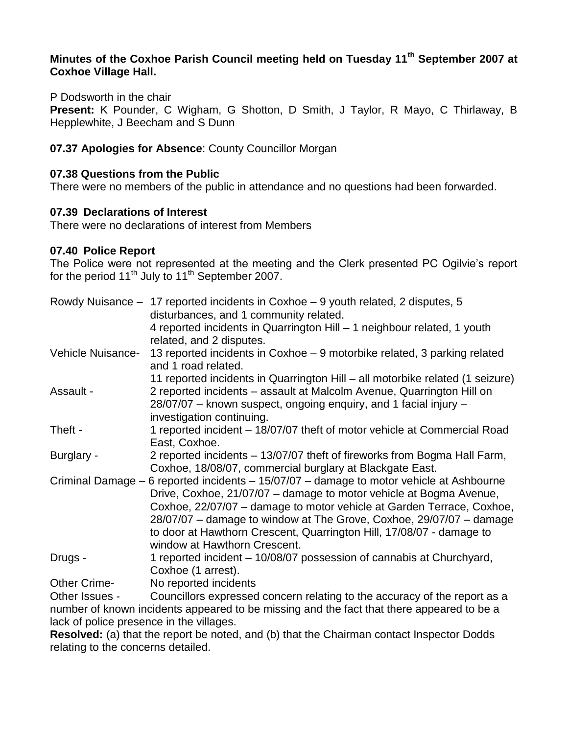# **Minutes of the Coxhoe Parish Council meeting held on Tuesday 11th September 2007 at Coxhoe Village Hall.**

P Dodsworth in the chair

**Present:** K Pounder, C Wigham, G Shotton, D Smith, J Taylor, R Mayo, C Thirlaway, B Hepplewhite, J Beecham and S Dunn

### **07.37 Apologies for Absence**: County Councillor Morgan

#### **07.38 Questions from the Public**

There were no members of the public in attendance and no questions had been forwarded.

#### **07.39 Declarations of Interest**

There were no declarations of interest from Members

#### **07.40 Police Report**

The Police were not represented at the meeting and the Clerk presented PC Ogilvie's report for the period  $11<sup>th</sup>$  July to  $11<sup>th</sup>$  September 2007.

|                                                                                          | Rowdy Nuisance - 17 reported incidents in Coxhoe - 9 youth related, 2 disputes, 5<br>disturbances, and 1 community related.               |
|------------------------------------------------------------------------------------------|-------------------------------------------------------------------------------------------------------------------------------------------|
|                                                                                          | 4 reported incidents in Quarrington Hill - 1 neighbour related, 1 youth<br>related, and 2 disputes.                                       |
| Vehicle Nuisance-                                                                        | 13 reported incidents in Coxhoe – 9 motorbike related, 3 parking related<br>and 1 road related.                                           |
|                                                                                          | 11 reported incidents in Quarrington Hill – all motorbike related (1 seizure)                                                             |
| Assault -                                                                                | 2 reported incidents - assault at Malcolm Avenue, Quarrington Hill on<br>28/07/07 – known suspect, ongoing enquiry, and 1 facial injury – |
|                                                                                          | investigation continuing.                                                                                                                 |
| Theft -                                                                                  | 1 reported incident – 18/07/07 theft of motor vehicle at Commercial Road<br>East, Coxhoe.                                                 |
| Burglary -                                                                               | 2 reported incidents – 13/07/07 theft of fireworks from Bogma Hall Farm,<br>Coxhoe, 18/08/07, commercial burglary at Blackgate East.      |
| Criminal Damage – 6 reported incidents – 15/07/07 – damage to motor vehicle at Ashbourne |                                                                                                                                           |
|                                                                                          | Drive, Coxhoe, 21/07/07 - damage to motor vehicle at Bogma Avenue,                                                                        |
|                                                                                          | Coxhoe, 22/07/07 – damage to motor vehicle at Garden Terrace, Coxhoe,                                                                     |
|                                                                                          | 28/07/07 - damage to window at The Grove, Coxhoe, 29/07/07 - damage                                                                       |
|                                                                                          | to door at Hawthorn Crescent, Quarrington Hill, 17/08/07 - damage to                                                                      |
|                                                                                          | window at Hawthorn Crescent.                                                                                                              |
| Drugs -                                                                                  | 1 reported incident – 10/08/07 possession of cannabis at Churchyard,                                                                      |
|                                                                                          | Coxhoe (1 arrest).                                                                                                                        |
| <b>Other Crime-</b>                                                                      | No reported incidents                                                                                                                     |

Other Issues - Councillors expressed concern relating to the accuracy of the report as a number of known incidents appeared to be missing and the fact that there appeared to be a lack of police presence in the villages.

**Resolved:** (a) that the report be noted, and (b) that the Chairman contact Inspector Dodds relating to the concerns detailed.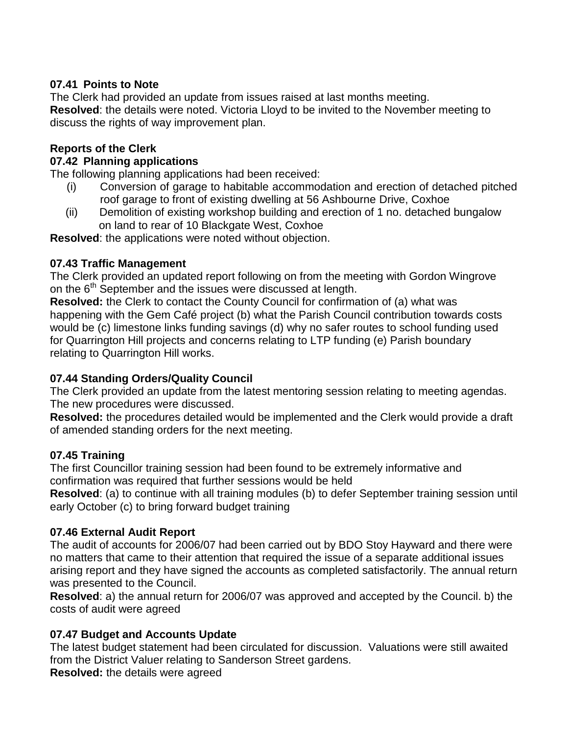## **07.41 Points to Note**

The Clerk had provided an update from issues raised at last months meeting. **Resolved**: the details were noted. Victoria Lloyd to be invited to the November meeting to discuss the rights of way improvement plan.

### **Reports of the Clerk**

#### **07.42 Planning applications**

The following planning applications had been received:

- (i) Conversion of garage to habitable accommodation and erection of detached pitched roof garage to front of existing dwelling at 56 Ashbourne Drive, Coxhoe
- (ii) Demolition of existing workshop building and erection of 1 no. detached bungalow on land to rear of 10 Blackgate West, Coxhoe

**Resolved**: the applications were noted without objection.

#### **07.43 Traffic Management**

The Clerk provided an updated report following on from the meeting with Gordon Wingrove on the 6<sup>th</sup> September and the issues were discussed at length.

**Resolved:** the Clerk to contact the County Council for confirmation of (a) what was happening with the Gem Café project (b) what the Parish Council contribution towards costs would be (c) limestone links funding savings (d) why no safer routes to school funding used for Quarrington Hill projects and concerns relating to LTP funding (e) Parish boundary relating to Quarrington Hill works.

## **07.44 Standing Orders/Quality Council**

The Clerk provided an update from the latest mentoring session relating to meeting agendas. The new procedures were discussed.

**Resolved:** the procedures detailed would be implemented and the Clerk would provide a draft of amended standing orders for the next meeting.

## **07.45 Training**

The first Councillor training session had been found to be extremely informative and confirmation was required that further sessions would be held

**Resolved**: (a) to continue with all training modules (b) to defer September training session until early October (c) to bring forward budget training

## **07.46 External Audit Report**

The audit of accounts for 2006/07 had been carried out by BDO Stoy Hayward and there were no matters that came to their attention that required the issue of a separate additional issues arising report and they have signed the accounts as completed satisfactorily. The annual return was presented to the Council.

**Resolved**: a) the annual return for 2006/07 was approved and accepted by the Council. b) the costs of audit were agreed

## **07.47 Budget and Accounts Update**

The latest budget statement had been circulated for discussion. Valuations were still awaited from the District Valuer relating to Sanderson Street gardens.

**Resolved:** the details were agreed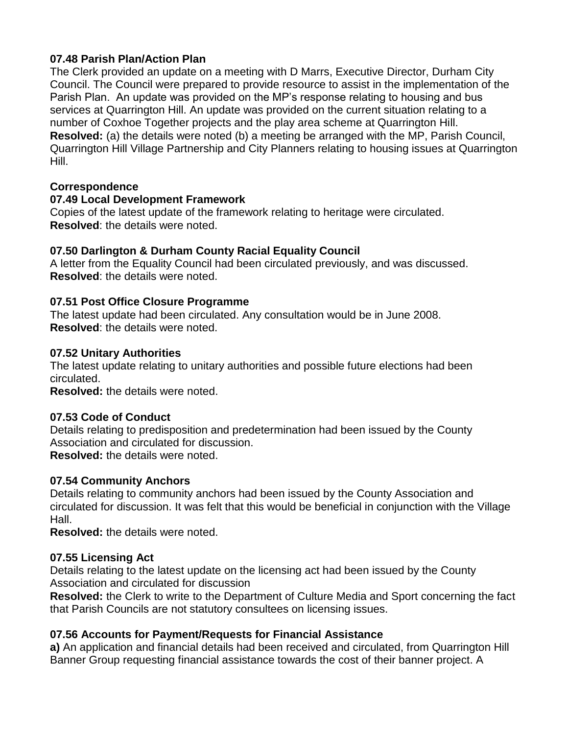## **07.48 Parish Plan/Action Plan**

The Clerk provided an update on a meeting with D Marrs, Executive Director, Durham City Council. The Council were prepared to provide resource to assist in the implementation of the Parish Plan. An update was provided on the MP's response relating to housing and bus services at Quarrington Hill. An update was provided on the current situation relating to a number of Coxhoe Together projects and the play area scheme at Quarrington Hill. **Resolved:** (a) the details were noted (b) a meeting be arranged with the MP, Parish Council, Quarrington Hill Village Partnership and City Planners relating to housing issues at Quarrington Hill.

#### **Correspondence**

#### **07.49 Local Development Framework**

Copies of the latest update of the framework relating to heritage were circulated. **Resolved**: the details were noted.

#### **07.50 Darlington & Durham County Racial Equality Council**

A letter from the Equality Council had been circulated previously, and was discussed. **Resolved**: the details were noted.

## **07.51 Post Office Closure Programme**

The latest update had been circulated. Any consultation would be in June 2008. **Resolved**: the details were noted.

#### **07.52 Unitary Authorities**

The latest update relating to unitary authorities and possible future elections had been circulated.

**Resolved:** the details were noted.

#### **07.53 Code of Conduct**

Details relating to predisposition and predetermination had been issued by the County Association and circulated for discussion.

**Resolved:** the details were noted.

## **07.54 Community Anchors**

Details relating to community anchors had been issued by the County Association and circulated for discussion. It was felt that this would be beneficial in conjunction with the Village Hall.

**Resolved:** the details were noted.

## **07.55 Licensing Act**

Details relating to the latest update on the licensing act had been issued by the County Association and circulated for discussion

**Resolved:** the Clerk to write to the Department of Culture Media and Sport concerning the fact that Parish Councils are not statutory consultees on licensing issues.

## **07.56 Accounts for Payment/Requests for Financial Assistance**

**a)** An application and financial details had been received and circulated, from Quarrington Hill Banner Group requesting financial assistance towards the cost of their banner project. A